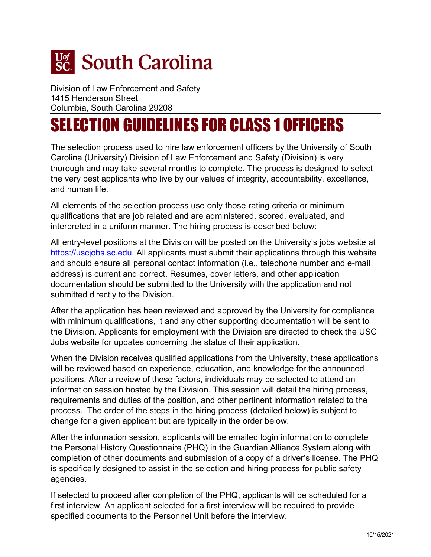

Division of Law Enforcement and Safety 1415 Henderson Street Columbia, South Carolina 29208

# SELECTION GUIDELINES FOR CLASS 1 OFFICERS

The selection process used to hire law enforcement officers by the University of South Carolina (University) Division of Law Enforcement and Safety (Division) is very thorough and may take several months to complete. The process is designed to select the very best applicants who live by our values of integrity, accountability, excellence, and human life.

All elements of the selection process use only those rating criteria or minimum qualifications that are job related and are administered, scored, evaluated, and interpreted in a uniform manner. The hiring process is described below:

All entry-level positions at the Division will be posted on the University's jobs website at [https://uscjobs.sc.edu.](https://uscjobs.sc.edu/) All applicants must submit their applications through this website and should ensure all personal contact information (i.e., telephone number and e-mail address) is current and correct. Resumes, cover letters, and other application documentation should be submitted to the University with the application and not submitted directly to the Division.

After the application has been reviewed and approved by the University for compliance with minimum qualifications, it and any other supporting documentation will be sent to the Division. Applicants for employment with the Division are directed to check the USC Jobs website for updates concerning the status of their application.

When the Division receives qualified applications from the University, these applications will be reviewed based on experience, education, and knowledge for the announced positions. After a review of these factors, individuals may be selected to attend an information session hosted by the Division. This session will detail the hiring process, requirements and duties of the position, and other pertinent information related to the process. The order of the steps in the hiring process (detailed below) is subject to change for a given applicant but are typically in the order below.

After the information session, applicants will be emailed login information to complete the Personal History Questionnaire (PHQ) in the Guardian Alliance System along with completion of other documents and submission of a copy of a driver's license. The PHQ is specifically designed to assist in the selection and hiring process for public safety agencies.

If selected to proceed after completion of the PHQ, applicants will be scheduled for a first interview. An applicant selected for a first interview will be required to provide specified documents to the Personnel Unit before the interview.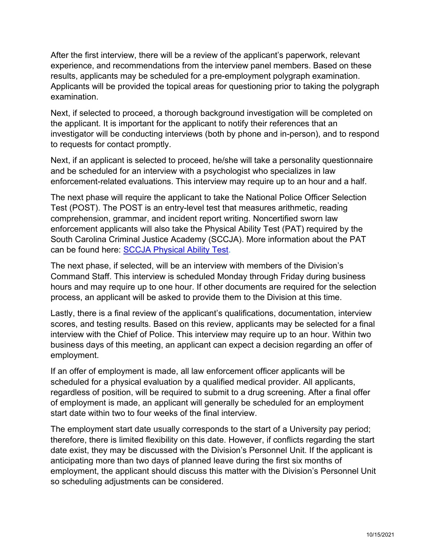After the first interview, there will be a review of the applicant's paperwork, relevant experience, and recommendations from the interview panel members. Based on these results, applicants may be scheduled for a pre-employment polygraph examination. Applicants will be provided the topical areas for questioning prior to taking the polygraph examination.

Next, if selected to proceed, a thorough background investigation will be completed on the applicant. It is important for the applicant to notify their references that an investigator will be conducting interviews (both by phone and in-person), and to respond to requests for contact promptly.

Next, if an applicant is selected to proceed, he/she will take a personality questionnaire and be scheduled for an interview with a psychologist who specializes in law enforcement-related evaluations. This interview may require up to an hour and a half.

The next phase will require the applicant to take the National Police Officer Selection Test (POST). The POST is an entry-level test that measures arithmetic, reading comprehension, grammar, and incident report writing. Noncertified sworn law enforcement applicants will also take the Physical Ability Test (PAT) required by the South Carolina Criminal Justice Academy (SCCJA). More information about the PAT can be found here: SCCJA [Physical Ability](https://sccja.sc.gov/training-support/physical-ability-test) Test.

The next phase, if selected, will be an interview with members of the Division's Command Staff. This interview is scheduled Monday through Friday during business hours and may require up to one hour. If other documents are required for the selection process, an applicant will be asked to provide them to the Division at this time.

Lastly, there is a final review of the applicant's qualifications, documentation, interview scores, and testing results. Based on this review, applicants may be selected for a final interview with the Chief of Police. This interview may require up to an hour. Within two business days of this meeting, an applicant can expect a decision regarding an offer of employment.

If an offer of employment is made, all law enforcement officer applicants will be scheduled for a physical evaluation by a qualified medical provider. All applicants, regardless of position, will be required to submit to a drug screening. After a final offer of employment is made, an applicant will generally be scheduled for an employment start date within two to four weeks of the final interview.

The employment start date usually corresponds to the start of a University pay period; therefore, there is limited flexibility on this date. However, if conflicts regarding the start date exist, they may be discussed with the Division's Personnel Unit. If the applicant is anticipating more than two days of planned leave during the first six months of employment, the applicant should discuss this matter with the Division's Personnel Unit so scheduling adjustments can be considered.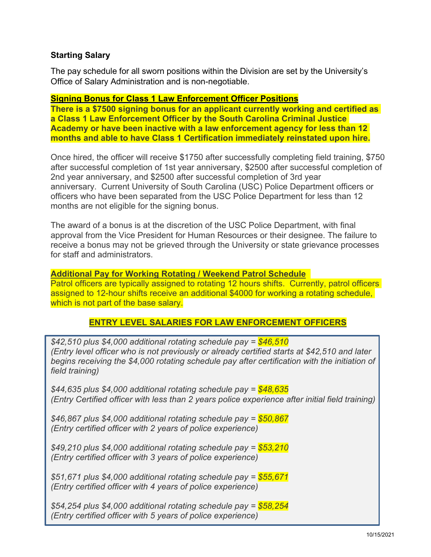# **Starting Salary**

The pay schedule for all sworn positions within the Division are set by the University's Office of Salary Administration and is non-negotiable.

#### **Signing Bonus for Class 1 Law Enforcement Officer Positions**

**There is a \$7500 signing bonus for an applicant currently working and certified as a Class 1 Law Enforcement Officer by the South Carolina Criminal Justice Academy or have been inactive with a law enforcement agency for less than 12 months and able to have Class 1 Certification immediately reinstated upon hire.**

Once hired, the officer will receive \$1750 after successfully completing field training, \$750 after successful completion of 1st year anniversary, \$2500 after successful completion of 2nd year anniversary, and \$2500 after successful completion of 3rd year anniversary. Current University of South Carolina (USC) Police Department officers or officers who have been separated from the USC Police Department for less than 12 months are not eligible for the signing bonus.

The award of a bonus is at the discretion of the USC Police Department, with final approval from the Vice President for Human Resources or their designee. The failure to receive a bonus may not be grieved through the University or state grievance processes for staff and administrators.

**Additional Pay for Working Rotating / Weekend Patrol Schedule** Patrol officers are typically assigned to rotating 12 hours shifts. Currently, patrol officers assigned to 12-hour shifts receive an additional \$4000 for working a rotating schedule, which is not part of the base salary.

# **ENTRY LEVEL SALARIES FOR LAW ENFORCEMENT OFFICERS**

*\$42,510 plus \$4,000 additional rotating schedule pay = \$46,510 (Entry level officer who is not previously or already certified starts at \$42,510 and later begins receiving the \$4,000 rotating schedule pay after certification with the initiation of field training)*

*\$44,635 plus \$4,000 additional rotating schedule pay = \$48,635 (Entry Certified officer with less than 2 years police experience after initial field training)*

*\$46,867 plus \$4,000 additional rotating schedule pay = \$50,867 (Entry certified officer with 2 years of police experience)*

*\$49,210 plus \$4,000 additional rotating schedule pay = \$53,210 (Entry certified officer with 3 years of police experience)*

*\$51,671 plus \$4,000 additional rotating schedule pay = \$55,671 (Entry certified officer with 4 years of police experience)*

*\$54,254 plus \$4,000 additional rotating schedule pay = \$58,254 (Entry certified officer with 5 years of police experience)*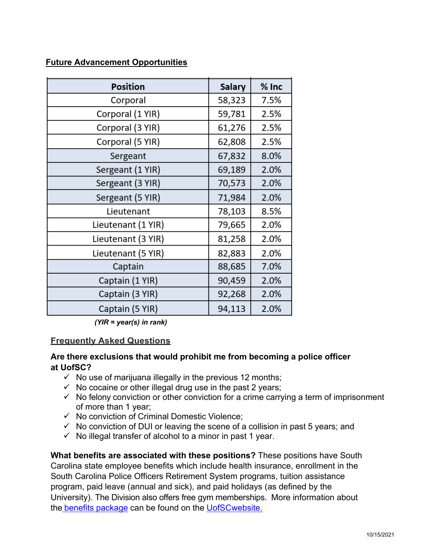## **Future Advancement Opportunities**

| <b>Position</b>    | <b>Salary</b> | $%$ Inc |
|--------------------|---------------|---------|
| Corporal           | 58,323        | 7.5%    |
| Corporal (1 YIR)   | 59,781        | 2.5%    |
| Corporal (3 YIR)   | 61,276        | 2.5%    |
| Corporal (5 YIR)   | 62,808        | 2.5%    |
| Sergeant           | 67,832        | 8.0%    |
| Sergeant (1 YIR)   | 69,189        | 2.0%    |
| Sergeant (3 YIR)   | 70,573        | 2.0%    |
| Sergeant (5 YIR)   | 71,984        | 2.0%    |
| Lieutenant         | 78,103        | 8.5%    |
| Lieutenant (1 YIR) | 79,665        | 2.0%    |
| Lieutenant (3 YIR) | 81,258        | 2.0%    |
| Lieutenant (5 YIR) | 82,883        | 2.0%    |
| Captain            | 88,685        | 7.0%    |
| Captain (1 YIR)    | 90,459        | 2.0%    |
| Captain (3 YIR)    | 92,268        | 2.0%    |
| Captain (5 YIR)    | 94,113        | 2.0%    |

 *(YIR = year(s) in rank)*

#### **Frequently Asked Questions**

## **Are there exclusions that would prohibit me from becoming a police officer at UofSC?**

- $\checkmark$  No use of marijuana illegally in the previous 12 months;
- $\checkmark$  No cocaine or other illegal drug use in the past 2 years;
- $\checkmark$  No felony conviction or other conviction for a crime carrying a term of imprisonment of more than 1 year;
- $\checkmark$  No conviction of Criminal Domestic Violence;
- $\checkmark$  No conviction of DUI or leaving the scene of a collision in past 5 years; and
- $\checkmark$  No illegal transfer of alcohol to a minor in past 1 year.

**What benefits are associated with these positions?** These positions have South Carolina state employee benefits which include health insurance, enrollment in the South Carolina Police Officers Retirement System programs, tuition assistance program, paid leave (annual and sick), and paid holidays (as defined by the University). The Division also offers free gym memberships. More information about the benefits [package](https://www.sc.edu/about/offices_and_divisions/human_resources/benefits/index.php) can be found on [the](https://www.sc.edu/about/offices_and_divisions/human_resources/benefits/index.php) UofS[Cwebsite.](https://www.sc.edu/about/offices_and_divisions/human_resources/benefits/index.php)